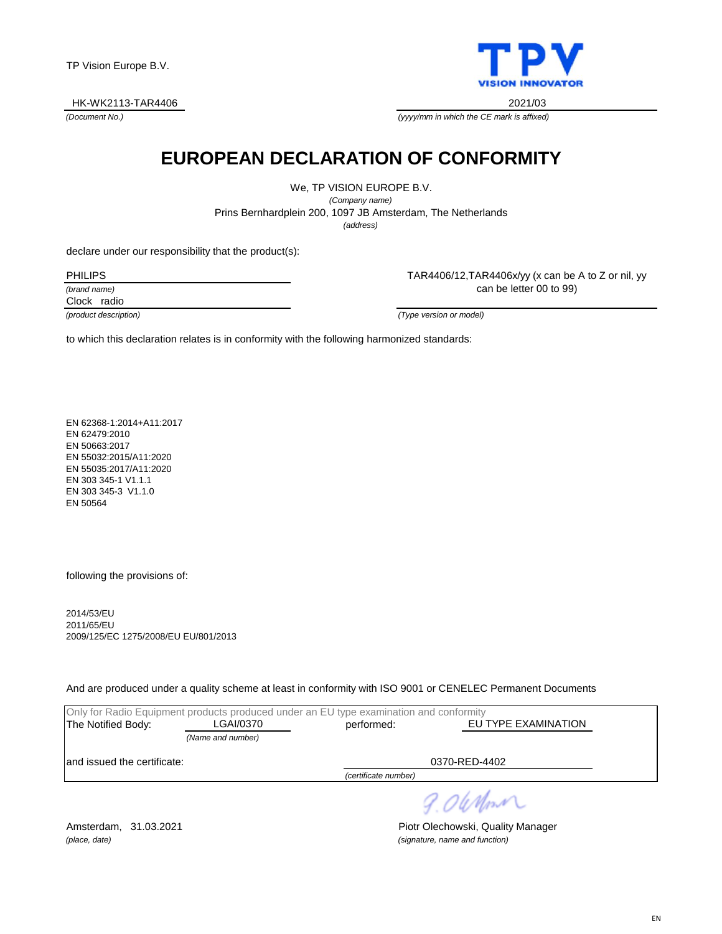HK-WK2113-TAR4406 2021/03

*(Document No.)*



*(yyyy/mm in which the CE mark is affixed)*

# **EUROPEAN DECLARATION OF CONFORMITY**

We, TP VISION EUROPE B.V. *(Company name)* Prins Bernhardplein 200, 1097 JB Amsterdam, The Netherlands *(address)*

declare under our responsibility that the product(s):

PHILIPS

*(brand name)*

Clock radio

TAR4406/12,TAR4406x/yy (x can be A to Z or nil, yy can be letter 00 to 99)

*(product description) (Type version or model)*

to which this declaration relates is in conformity with the following harmonized standards:

EN 62368-1:2014+A11:2017 EN 62479:2010 EN 50663:2017 EN 55032:2015/A11:2020 EN 55035:2017/A11:2020 EN 303 345-1 V1.1.1 EN 303 345-3 V1.1.0 EN 50564

following the provisions of:

2014/53/EU 2011/65/EU 2009/125/EC 1275/2008/EU EU/801/2013

And are produced under a quality scheme at least in conformity with ISO 9001 or CENELEC Permanent Documents

|                              |                   | Only for Radio Equipment products produced under an EU type examination and conformity |                     |
|------------------------------|-------------------|----------------------------------------------------------------------------------------|---------------------|
| The Notified Body:           | LGAI/0370         | performed:                                                                             | EU TYPE EXAMINATION |
|                              | (Name and number) |                                                                                        |                     |
| land issued the certificate: |                   |                                                                                        | 0370-RED-4402       |
|                              |                   | (certificate number)                                                                   |                     |
|                              |                   |                                                                                        |                     |

9.06 Monri

*(place, date) (signature, name and function)*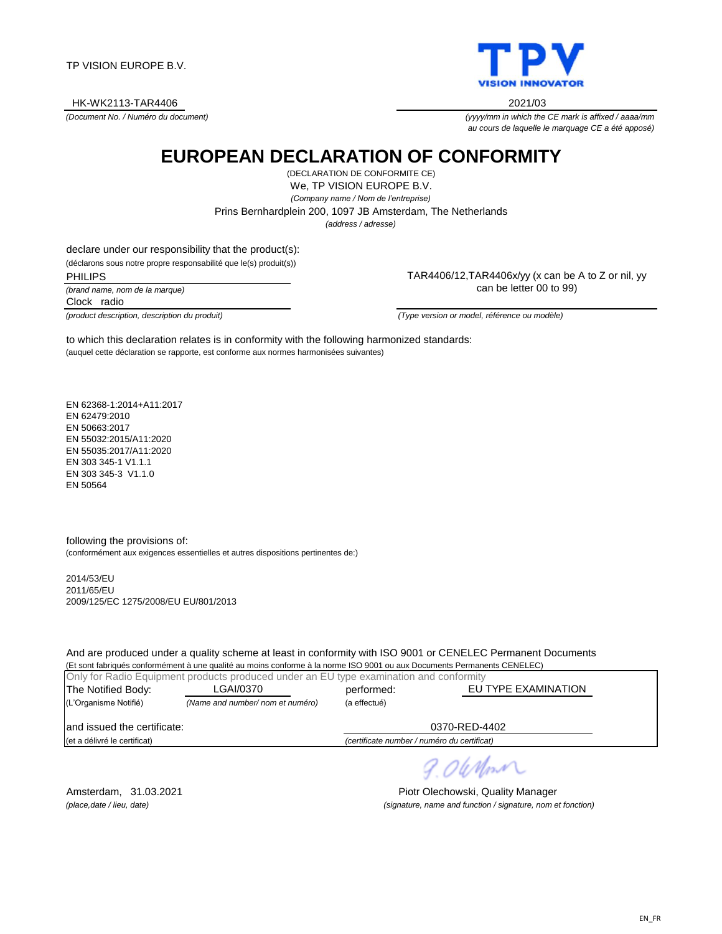TP VISION EUROPE B.V.

HK-WK2113-TAR4406 2021/03

*(Document No. / Numéro du document)*

*(yyyy/mm in which the CE mark is affixed / aaaa/mm au cours de laquelle le marquage CE a été apposé)*

# **EUROPEAN DECLARATION OF CONFORMITY**

We, TP VISION EUROPE B.V. *(Company name / Nom de l'entreprise)* (DECLARATION DE CONFORMITE CE) *(address / adresse)* Prins Bernhardplein 200, 1097 JB Amsterdam, The Netherlands

declare under our responsibility that the product(s):

(déclarons sous notre propre responsabilité que le(s) produit(s))

PHILIPS

*(brand name, nom de la marque)* Clock radio

*(product description, description du produit) (Type version or model, référence ou modèle)*

(auquel cette déclaration se rapporte, est conforme aux normes harmonisées suivantes) to which this declaration relates is in conformity with the following harmonized standards:

EN 62368-1:2014+A11:2017 EN 62479:2010 EN 50663:2017 EN 55032:2015/A11:2020 EN 55035:2017/A11:2020 EN 303 345-1 V1.1.1 EN 303 345-3 V1.1.0 EN 50564

following the provisions of: (conformément aux exigences essentielles et autres dispositions pertinentes de:)

2014/53/EU 2011/65/EU 2009/125/EC 1275/2008/EU EU/801/2013

And are produced under a quality scheme at least in conformity with ISO 9001 or CENELEC Permanent Documents (Et sont fabriqués conformément à une qualité au moins conforme à la norme ISO 9001 ou aux Documents Permanents CENELEC)

|                              | Only for Radio Equipment products produced under an EU type examination and conformity |                                             |                     |
|------------------------------|----------------------------------------------------------------------------------------|---------------------------------------------|---------------------|
| The Notified Body:           | LGAI/0370                                                                              | performed:                                  | EU TYPE EXAMINATION |
| (L'Organisme Notifié)        | (Name and number/ nom et numéro)                                                       | (a effectué)                                |                     |
| land issued the certificate: |                                                                                        |                                             | 0370-RED-4402       |
| (et a délivré le certificat) |                                                                                        | (certificate number / numéro du certificat) |                     |

9.06Mm

Amsterdam, 31.03.2021 **Piotr Olechowski, Quality Manager** *(place,date / lieu, date) (signature, name and function / signature, nom et fonction)*

TAR4406/12,TAR4406x/yy (x can be A to Z or nil, yy can be letter 00 to 99)

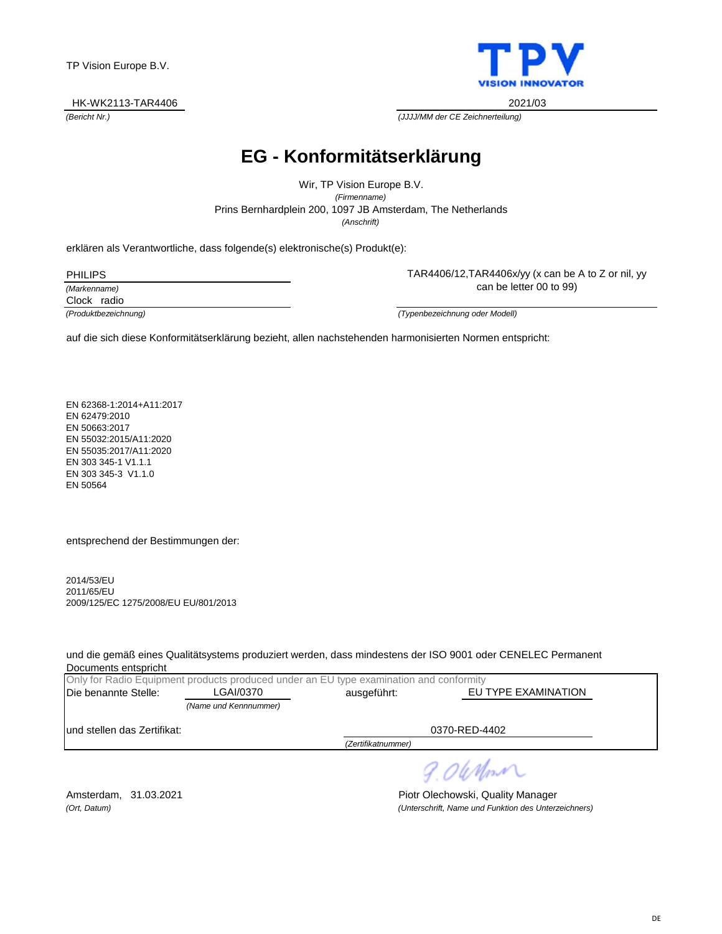#### HK-WK2113-TAR4406 2021/03



TAR4406/12,TAR4406x/yy (x can be A to Z or nil, yy

*(Bericht Nr.) (JJJJ/MM der CE Zeichnerteilung)*

### **EG - Konformitätserklärung**

Prins Bernhardplein 200, 1097 JB Amsterdam, The Netherlands Wir, TP Vision Europe B.V. *(Firmenname) (Anschrift)*

erklären als Verantwortliche, dass folgende(s) elektronische(s) Produkt(e):

PHILIPS

*(Markenname)*

Clock radio

can be letter 00 to 99)

*(Produktbezeichnung) (Typenbezeichnung oder Modell)*

auf die sich diese Konformitätserklärung bezieht, allen nachstehenden harmonisierten Normen entspricht:

EN 62368-1:2014+A11:2017 EN 62479:2010 EN 50663:2017 EN 55032:2015/A11:2020 EN 55035:2017/A11:2020 EN 303 345-1 V1.1.1 EN 303 345-3 V1.1.0 EN 50564

entsprechend der Bestimmungen der:

2014/53/EU 2011/65/EU 2009/125/EC 1275/2008/EU EU/801/2013

und die gemäß eines Qualitätsystems produziert werden, dass mindestens der ISO 9001 oder CENELEC Permanent Documents entspricht

|                              | Only for Radio Equipment products produced under an EU type examination and conformity |                    |                     |
|------------------------------|----------------------------------------------------------------------------------------|--------------------|---------------------|
| Die benannte Stelle:         | LGAI/0370                                                                              | ausgeführt:        | EU TYPE EXAMINATION |
|                              | (Name und Kennnummer)                                                                  |                    |                     |
| lund stellen das Zertifikat: |                                                                                        |                    | 0370-RED-4402       |
|                              |                                                                                        | (Zertifikatnummer) |                     |

9.06 Mont

Amsterdam, 31.03.2021 **Piotr Olechowski, Quality Manager** *(Ort, Datum) (Unterschrift, Name und Funktion des Unterzeichners)*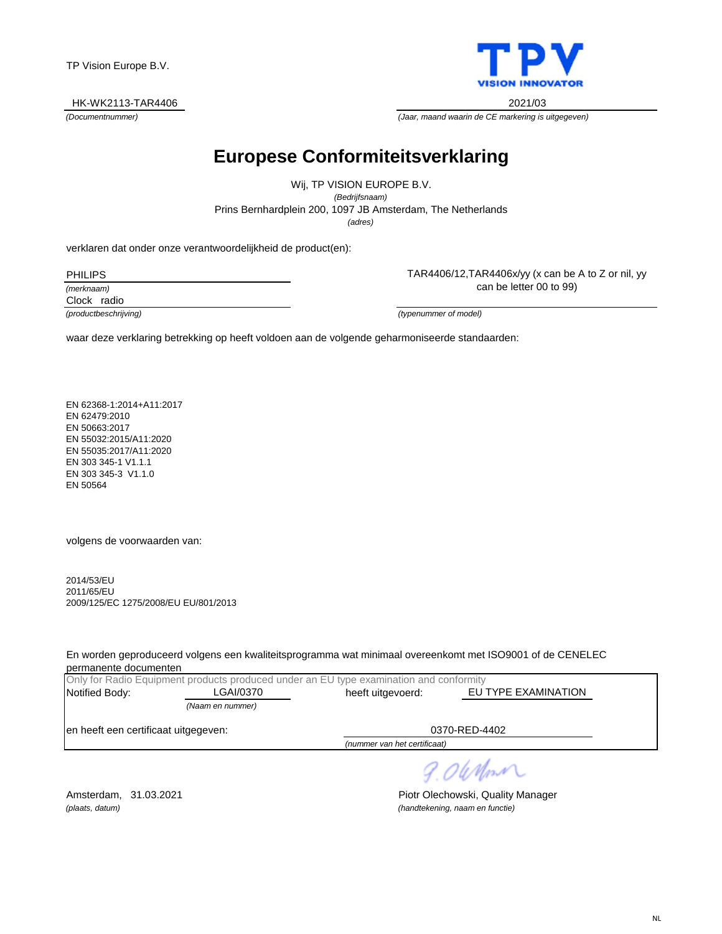#### HK-WK2113-TAR4406 2021/03



*(Documentnummer) (Jaar, maand waarin de CE markering is uitgegeven)*

# **Europese Conformiteitsverklaring**

*(adres)* Prins Bernhardplein 200, 1097 JB Amsterdam, The Netherlands Wij, TP VISION EUROPE B.V. *(Bedrijfsnaam)*

verklaren dat onder onze verantwoordelijkheid de product(en):

PHILIPS

*(merknaam)*

Clock radio

can be letter 00 to 99)

TAR4406/12,TAR4406x/yy (x can be A to Z or nil, yy

*(productbeschrijving) (typenummer of model)*

waar deze verklaring betrekking op heeft voldoen aan de volgende geharmoniseerde standaarden:

EN 62368-1:2014+A11:2017 EN 62479:2010 EN 50663:2017 EN 55032:2015/A11:2020 EN 55035:2017/A11:2020 EN 303 345-1 V1.1.1 EN 303 345-3 V1.1.0 EN 50564

volgens de voorwaarden van:

2014/53/EU 2011/65/EU 2009/125/EC 1275/2008/EU EU/801/2013

En worden geproduceerd volgens een kwaliteitsprogramma wat minimaal overeenkomt met ISO9001 of de CENELEC permanente documenten

|                                      |                  | Only for Radio Equipment products produced under an EU type examination and conformity |                     |
|--------------------------------------|------------------|----------------------------------------------------------------------------------------|---------------------|
| Notified Body:                       | LGAI/0370        | heeft uitgevoerd:                                                                      | EU TYPE EXAMINATION |
|                                      | (Naam en nummer) |                                                                                        |                     |
| en heeft een certificaat uitgegeven: |                  |                                                                                        | 0370-RED-4402       |
|                                      |                  | (nummer van het certificaat)                                                           |                     |

9.06 Mont

Amsterdam, 31.03.2021 **Piotr Olechowski, Quality Manager** *(plaats, datum) (handtekening, naam en functie)*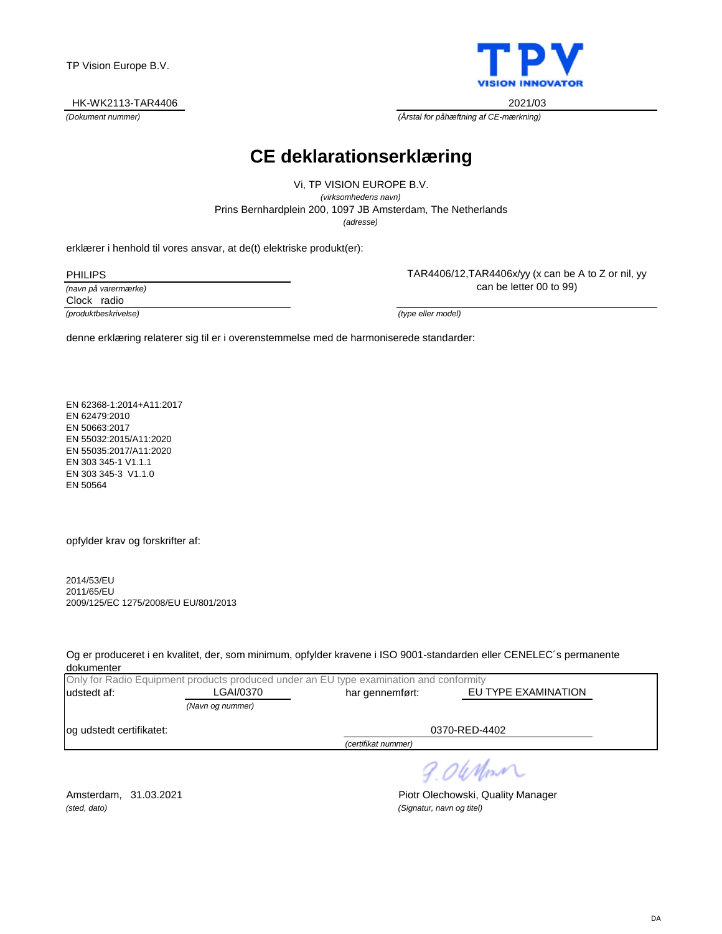#### HK-WK2113-TAR4406 2021/03



*(Dokument nummer) (Årstal for påhæftning af CE-mærkning)*

### **CE deklarationserklæring**

Prins Bernhardplein 200, 1097 JB Amsterdam, The Netherlands Vi, TP VISION EUROPE B.V. *(virksomhedens navn) (adresse)*

erklærer i henhold til vores ansvar, at de(t) elektriske produkt(er):

PHILIPS

*(navn på varermærke)*

Clock radio

*(produktbeskrivelse) (type eller model)*

TAR4406/12,TAR4406x/yy (x can be A to Z or nil, yy can be letter 00 to 99)

denne erklæring relaterer sig til er i overenstemmelse med de harmoniserede standarder:

EN 62368-1:2014+A11:2017 EN 62479:2010 EN 50663:2017 EN 55032:2015/A11:2020 EN 55035:2017/A11:2020 EN 303 345-1 V1.1.1 EN 303 345-3 V1.1.0 EN 50564

opfylder krav og forskrifter af:

2014/53/EU 2011/65/EU 2009/125/EC 1275/2008/EU EU/801/2013

Og er produceret i en kvalitet, der, som minimum, opfylder kravene i ISO 9001-standarden eller CENELEC´s permanente dokumenter

|                          |                              | Only for Radio Equipment products produced under an EU type examination and conformity |                     |  |
|--------------------------|------------------------------|----------------------------------------------------------------------------------------|---------------------|--|
| udstedt af:              | LGAI/0370<br>har gennemført: |                                                                                        | EU TYPE EXAMINATION |  |
|                          | (Navn og nummer)             |                                                                                        |                     |  |
| og udstedt certifikatet: |                              |                                                                                        | 0370-RED-4402       |  |
|                          |                              | $-1.0000$ $-1.0000$                                                                    |                     |  |

*(certifikat nummer)*

9.06 Mont

*(sted, dato) (Signatur, navn og titel)*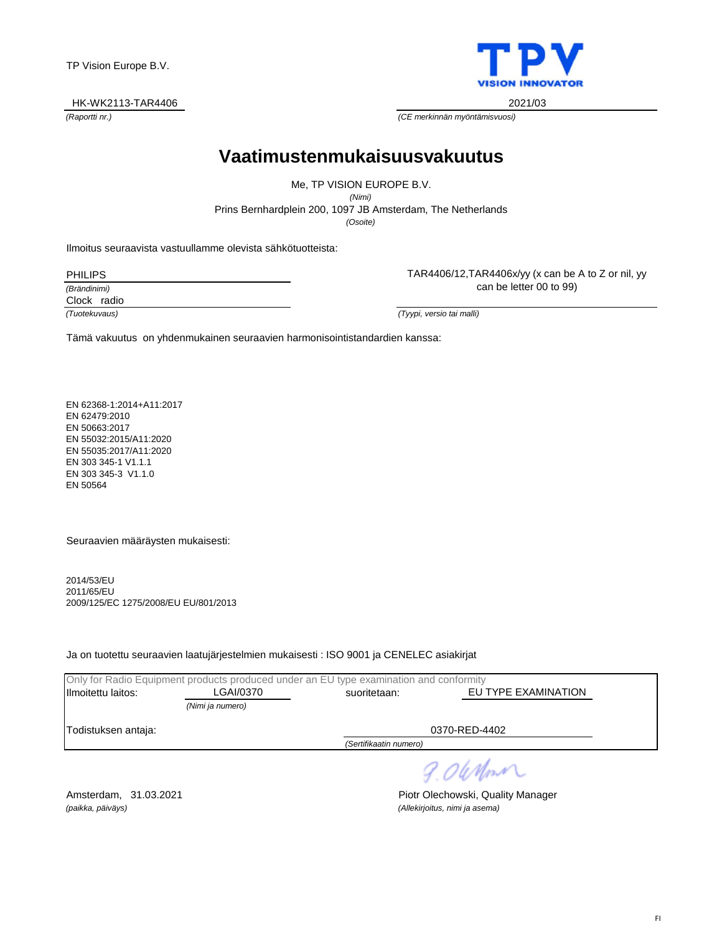#### HK-WK2113-TAR4406 2021/03

**VISION INNOVATOR** 

*(Raportti nr.) (CE merkinnän myöntämisvuosi)*

### **Vaatimustenmukaisuusvakuutus**

Prins Bernhardplein 200, 1097 JB Amsterdam, The Netherlands Me, TP VISION EUROPE B.V. *(Nimi) (Osoite)*

Ilmoitus seuraavista vastuullamme olevista sähkötuotteista:

PHILIPS

*(Brändinimi)*

Clock radio

can be letter 00 to 99)

TAR4406/12,TAR4406x/yy (x can be A to Z or nil, yy

*(Tuotekuvaus) (Tyypi, versio tai malli)*

Tämä vakuutus on yhdenmukainen seuraavien harmonisointistandardien kanssa:

EN 62368-1:2014+A11:2017 EN 62479:2010 EN 50663:2017 EN 55032:2015/A11:2020 EN 55035:2017/A11:2020 EN 303 345-1 V1.1.1 EN 303 345-3 V1.1.0 EN 50564

Seuraavien määräysten mukaisesti:

2014/53/EU 2011/65/EU 2009/125/EC 1275/2008/EU EU/801/2013

Ja on tuotettu seuraavien laatujärjestelmien mukaisesti : ISO 9001 ja CENELEC asiakirjat

|                        | Only for Radio Equipment products produced under an EU type examination and conformity |                                     |               |  |
|------------------------|----------------------------------------------------------------------------------------|-------------------------------------|---------------|--|
| Ilmoitettu laitos:     | LGAI/0370                                                                              | EU TYPE EXAMINATION<br>suoritetaan: |               |  |
|                        | (Nimi ja numero)                                                                       |                                     |               |  |
| Todistuksen antaja:    |                                                                                        |                                     | 0370-RED-4402 |  |
| (Sertifikaatin numero) |                                                                                        |                                     |               |  |
|                        |                                                                                        |                                     | ____          |  |

9. OWnm

*(paikka, päiväys) (Allekirjoitus, nimi ja asema)*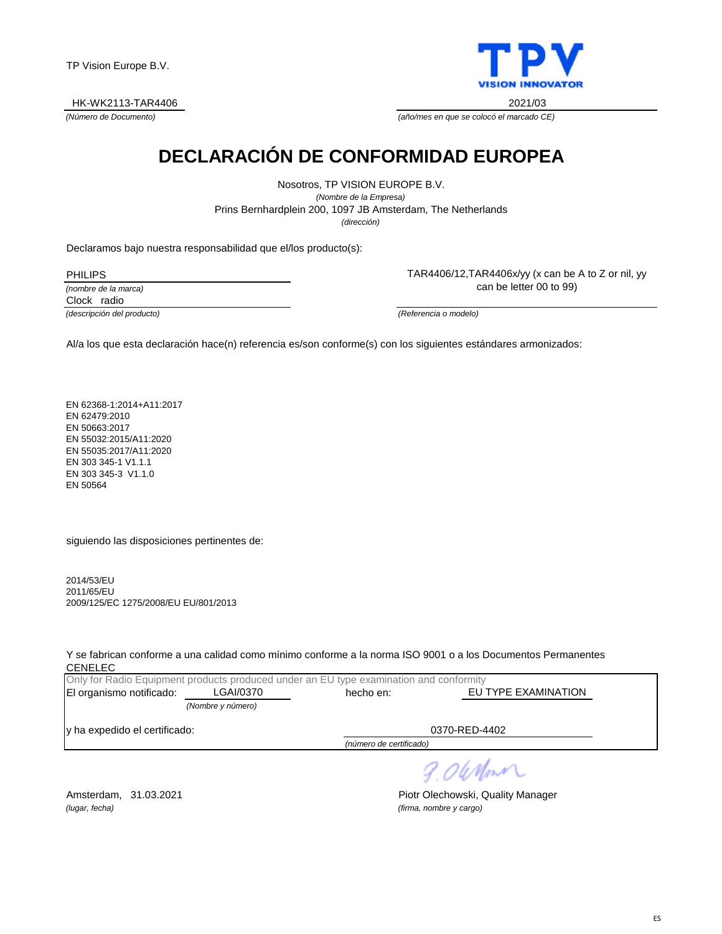HK-WK2113-TAR4406 2021/03



*(Número de Documento) (año/mes en que se colocó el marcado CE)*

# **DECLARACIÓN DE CONFORMIDAD EUROPEA**

Prins Bernhardplein 200, 1097 JB Amsterdam, The Netherlands Nosotros, TP VISION EUROPE B.V. *(Nombre de la Empresa) (dirección)*

Declaramos bajo nuestra responsabilidad que el/los producto(s):

PHILIPS

*(nombre de la marca)* Clock radio

TAR4406/12,TAR4406x/yy (x can be A to Z or nil, yy can be letter 00 to 99)

*(descripción del producto) (Referencia o modelo)*

Al/a los que esta declaración hace(n) referencia es/son conforme(s) con los siguientes estándares armonizados:

EN 62368-1:2014+A11:2017 EN 62479:2010 EN 50663:2017 EN 55032:2015/A11:2020 EN 55035:2017/A11:2020 EN 303 345-1 V1.1.1 EN 303 345-3 V1.1.0 EN 50564

siguiendo las disposiciones pertinentes de:

2014/53/EU 2011/65/EU 2009/125/EC 1275/2008/EU EU/801/2013

Y se fabrican conforme a una calidad como mínimo conforme a la norma ISO 9001 o a los Documentos Permanentes CENELEC

|                               | Only for Radio Equipment products produced under an EU type examination and conformity |                         |                     |
|-------------------------------|----------------------------------------------------------------------------------------|-------------------------|---------------------|
| El organismo notificado:      | LGAI/0370                                                                              | hecho en:               | EU TYPE EXAMINATION |
|                               | (Nombre y número)                                                                      |                         |                     |
| y ha expedido el certificado: |                                                                                        |                         | 0370-RED-4402       |
|                               |                                                                                        | (número de certificado) |                     |

9.06 Mon

*(lugar, fecha) (firma, nombre y cargo)*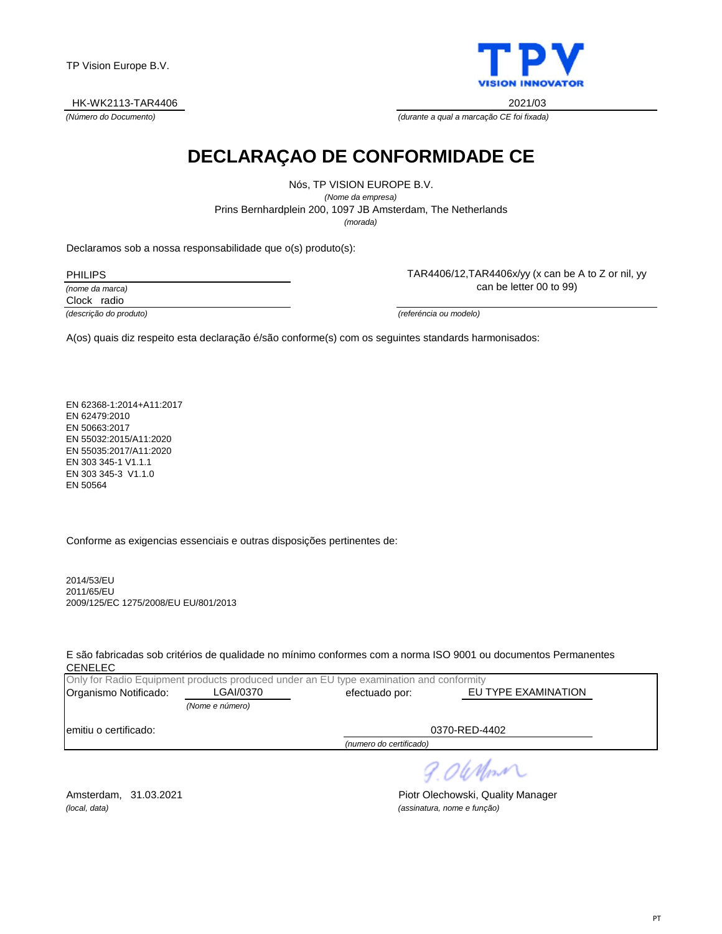HK-WK2113-TAR4406 2021/03



*(Número do Documento) (durante a qual a marcação CE foi fixada)*

# **DECLARAÇAO DE CONFORMIDADE CE**

Nós, TP VISION EUROPE B.V. *(Nome da empresa)* Prins Bernhardplein 200, 1097 JB Amsterdam, The Netherlands *(morada)*

Declaramos sob a nossa responsabilidade que o(s) produto(s):

PHILIPS

*(nome da marca)*

Clock radio

TAR4406/12,TAR4406x/yy (x can be A to Z or nil, yy can be letter 00 to 99)

*(descrição do produto) (referéncia ou modelo)*

A(os) quais diz respeito esta declaração é/são conforme(s) com os seguintes standards harmonisados:

EN 62368-1:2014+A11:2017 EN 62479:2010 EN 50663:2017 EN 55032:2015/A11:2020 EN 55035:2017/A11:2020 EN 303 345-1 V1.1.1 EN 303 345-3 V1.1.0 EN 50564

Conforme as exigencias essenciais e outras disposições pertinentes de:

2014/53/EU 2011/65/EU 2009/125/EC 1275/2008/EU EU/801/2013

E são fabricadas sob critérios de qualidade no mínimo conformes com a norma ISO 9001 ou documentos Permanentes CENELEC

|                       |                 | Only for Radio Equipment products produced under an EU type examination and conformity |                     |
|-----------------------|-----------------|----------------------------------------------------------------------------------------|---------------------|
| Organismo Notificado: | ∟GAI/0370       | efectuado por:                                                                         | EU TYPE EXAMINATION |
|                       | (Nome e número) |                                                                                        |                     |
| emitiu o certificado: |                 |                                                                                        | 0370-RED-4402       |
|                       |                 | (numero do certificado)                                                                |                     |

9.06 Mon

*(local, data) (assinatura, nome e função)*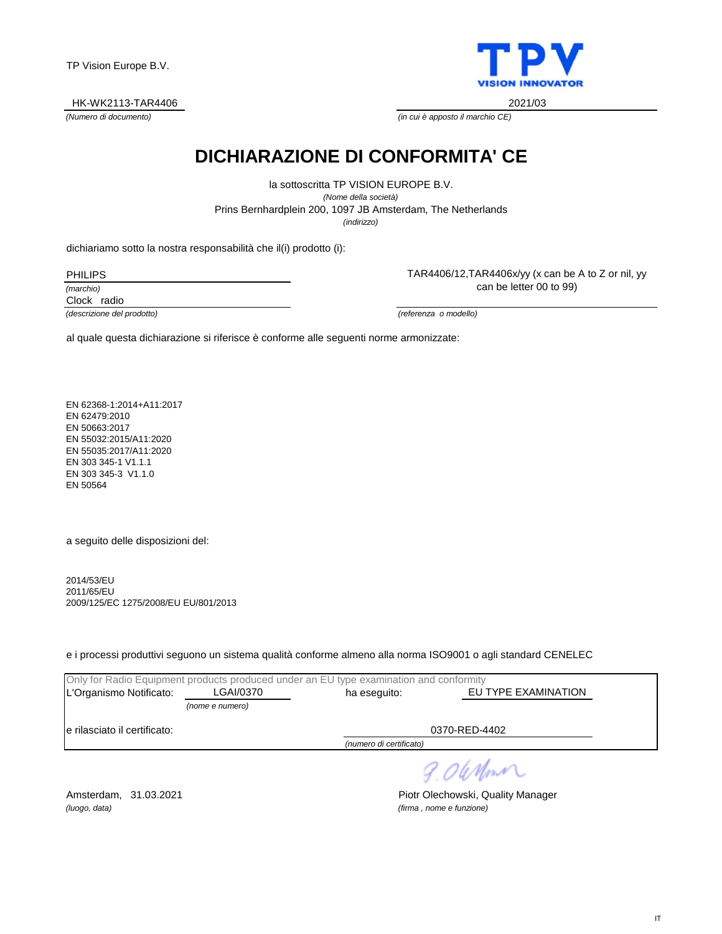HK-WK2113-TAR4406 2021/03



*(Numero di documento) (in cui è apposto il marchio CE)*

# **DICHIARAZIONE DI CONFORMITA' CE**

Prins Bernhardplein 200, 1097 JB Amsterdam, The Netherlands la sottoscritta TP VISION EUROPE B.V. *(Nome della società) (indirizzo)*

dichiariamo sotto la nostra responsabilità che il(i) prodotto (i):

PHILIPS

*(marchio)*

Clock radio

*(descrizione del prodotto) (referenza o modello)*

TAR4406/12,TAR4406x/yy (x can be A to Z or nil, yy can be letter 00 to 99)

al quale questa dichiarazione si riferisce è conforme alle seguenti norme armonizzate:

EN 62368-1:2014+A11:2017 EN 62479:2010 EN 50663:2017 EN 55032:2015/A11:2020 EN 55035:2017/A11:2020 EN 303 345-1 V1.1.1 EN 303 345-3 V1.1.0 EN 50564

a seguito delle disposizioni del:

2014/53/EU 2011/65/EU 2009/125/EC 1275/2008/EU EU/801/2013

e i processi produttivi seguono un sistema qualità conforme almeno alla norma ISO9001 o agli standard CENELEC

|                               |                         | Only for Radio Equipment products produced under an EU type examination and conformity |               |  |
|-------------------------------|-------------------------|----------------------------------------------------------------------------------------|---------------|--|
| L'Organismo Notificato:       | LGAI/0370               | EU TYPE EXAMINATION<br>ha eseguito:                                                    |               |  |
|                               | (nome e numero)         |                                                                                        |               |  |
| le rilasciato il certificato: |                         |                                                                                        | 0370-RED-4402 |  |
|                               | (numero di certificato) |                                                                                        |               |  |
|                               |                         |                                                                                        |               |  |

9.06 Monri

*(luogo, data) (firma , nome e funzione)*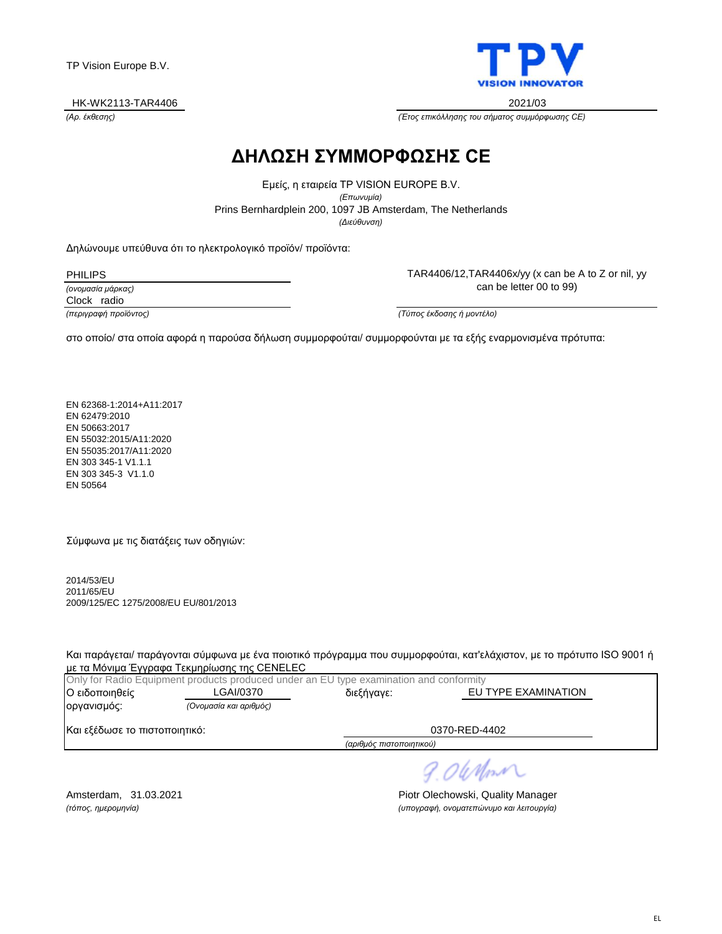#### HK-WK2113-TAR4406 2021/03



TAR4406/12,TAR4406x/yy (x can be A to Z or nil, yy can be letter 00 to 99)

*(Αρ. έκθεσης) (Έτος επικόλλησης του σήματος συμμόρφωσης CE)*

### **ΔΗΛΩΣΗ ΣΥΜΜΟΡΦΩΣΗΣ CE**

Prins Bernhardplein 200, 1097 JB Amsterdam, The Netherlands Εμείς, η εταιρεία TP VISION EUROPE B.V. *(Επωνυμία) (Διεύθυνση)*

Δηλώνουμε υπεύθυνα ότι το ηλεκτρολογικό προϊόν/ προϊόντα:

PHILIPS

*(ονομασία μάρκας)*

Clock radio

*(περιγραφή προϊόντος) (Τύπος έκδοσης ή μοντέλο)*

στο οποίο/ στα οποία αφορά η παρούσα δήλωση συμμορφούται/ συμμορφούνται με τα εξής εναρμονισμένα πρότυπα:

EN 62368-1:2014+A11:2017 EN 62479:2010 EN 50663:2017 EN 55032:2015/A11:2020 EN 55035:2017/A11:2020 EN 303 345-1 V1.1.1 EN 303 345-3 V1.1.0 EN 50564

Σύμφωνα με τις διατάξεις των οδηγιών:

2014/53/EU 2011/65/EU 2009/125/EC 1275/2008/EU EU/801/2013

Και παράγεται/ παράγονται σύμφωνα με ένα ποιοτικό πρόγραμμα που συμμορφούται, κατ'ελάχιστον, με το πρότυπο ISO 9001 ή με τα Μόνιμα Έγγραφα Τεκμηρίωσης της CENELEC

|                               | Only for Radio Equipment products produced under an EU type examination and conformity |                          |                     |
|-------------------------------|----------------------------------------------------------------------------------------|--------------------------|---------------------|
| Ο ειδοποιηθείς                | LGAI/0370                                                                              | διεξήγαγε:               | EU TYPE EXAMINATION |
| οργανισμός:                   | (Ονομασία και αριθμός)                                                                 |                          |                     |
| Και εξέδωσε το πιστοποιητικό: |                                                                                        |                          | 0370-RED-4402       |
|                               |                                                                                        | (αριθμός πιστοποιητικού) |                     |

9.06 Mon

Amsterdam, 31.03.2021 **Piotr Olechowski, Quality Manager** *(τόπος, ημερομηνία) (υπογραφή, ονοματεπώνυμο και λειτουργία)*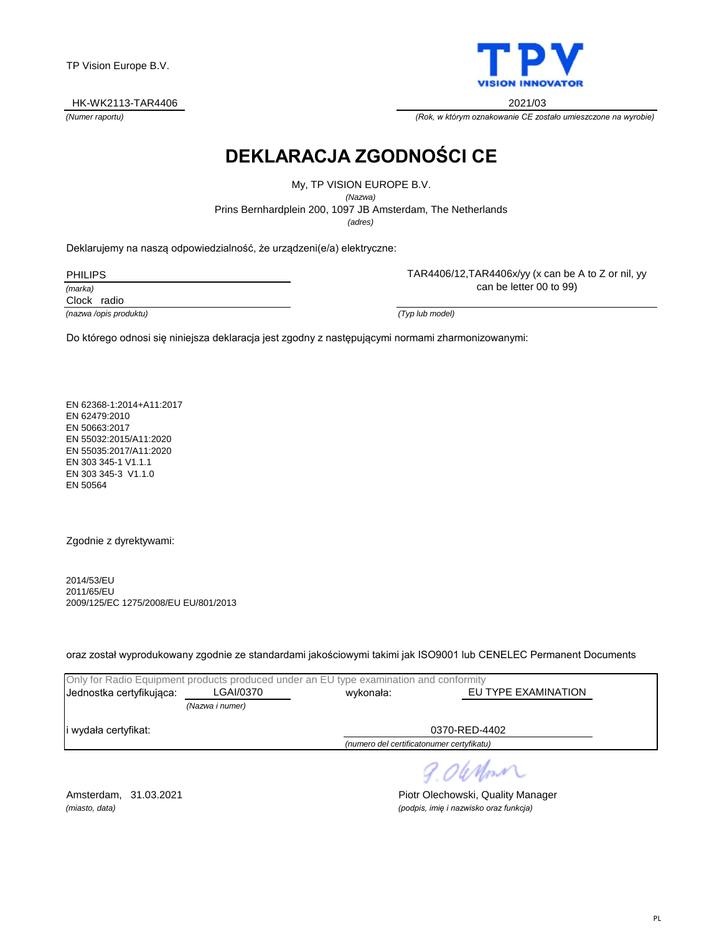#### HK-WK2113-TAR4406 2021/03



TAR4406/12,TAR4406x/yy (x can be A to Z or nil, yy

*(Numer raportu) (Rok, w którym oznakowanie CE zostało umieszczone na wyrobie)*

# **DEKLARACJA ZGODNOŚCI CE**

Prins Bernhardplein 200, 1097 JB Amsterdam, The Netherlands My, TP VISION EUROPE B.V. *(Nazwa) (adres)*

Deklarujemy na naszą odpowiedzialność, że urządzeni(e/a) elektryczne:

PHILIPS

*(marka)*

Clock radio

can be letter 00 to 99)

*(nazwa /opis produktu) (Typ lub model)*

Do którego odnosi się niniejsza deklaracja jest zgodny z następującymi normami zharmonizowanymi:

EN 62368-1:2014+A11:2017 EN 62479:2010 EN 50663:2017 EN 55032:2015/A11:2020 EN 55035:2017/A11:2020 EN 303 345-1 V1.1.1 EN 303 345-3 V1.1.0 EN 50564

Zgodnie z dyrektywami:

2014/53/EU 2011/65/EU 2009/125/EC 1275/2008/EU EU/801/2013

oraz został wyprodukowany zgodnie ze standardami jakościowymi takimi jak ISO9001 lub CENELEC Permanent Documents

| Only for Radio Equipment products produced under an EU type examination and conformity |                 |                                  |  |  |
|----------------------------------------------------------------------------------------|-----------------|----------------------------------|--|--|
| Jednostka certyfikująca:                                                               | LGAI/0370       | EU TYPE EXAMINATION<br>wykonała: |  |  |
|                                                                                        | (Nazwa i numer) |                                  |  |  |
| 0370-RED-4402<br>i wydała certyfikat:                                                  |                 |                                  |  |  |
| (numero del certificatonumer certyfikatu)                                              |                 |                                  |  |  |

9.06 Mont

Amsterdam, 31.03.2021 **Piotr Olechowski, Quality Manager** *(miasto, data) (podpis, imię i nazwisko oraz funkcja)*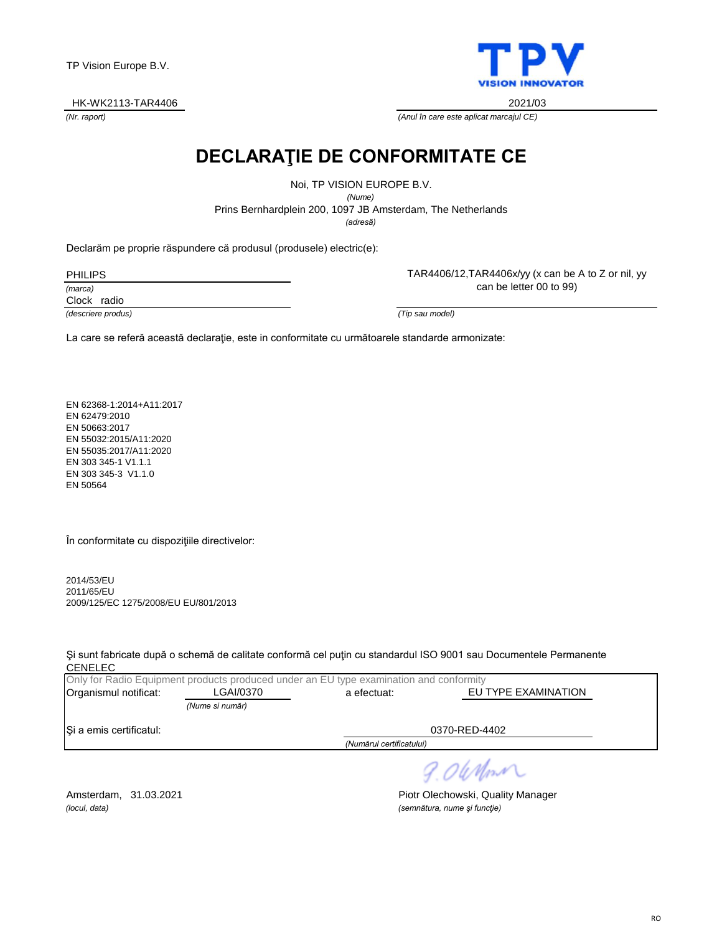HK-WK2113-TAR4406 2021/03

**VISION INNOV ATOR** 

TAR4406/12,TAR4406x/yy (x can be A to Z or nil, yy

*(Nr. raport) (Anul în care este aplicat marcajul CE)*

# **DECLARAŢIE DE CONFORMITATE CE**

*(adresă)* Prins Bernhardplein 200, 1097 JB Amsterdam, The Netherlands Noi, TP VISION EUROPE B.V. *(Nume)*

Declarăm pe proprie răspundere că produsul (produsele) electric(e):

PHILIPS

*(marca)*

Clock radio

*(descriere produs) (Tip sau model)*

can be letter 00 to 99)

La care se referă această declaraţie, este in conformitate cu următoarele standarde armonizate:

EN 62368-1:2014+A11:2017 EN 62479:2010 EN 50663:2017 EN 55032:2015/A11:2020 EN 55035:2017/A11:2020 EN 303 345-1 V1.1.1 EN 303 345-3 V1.1.0 EN 50564

În conformitate cu dispoziţiile directivelor:

2014/53/EU 2011/65/EU 2009/125/EC 1275/2008/EU EU/801/2013

Şi sunt fabricate după o schemă de calitate conformă cel puţin cu standardul ISO 9001 sau Documentele Permanente CENELEC

|                         |                 | Only for Radio Equipment products produced under an EU type examination and conformity |                     |
|-------------------------|-----------------|----------------------------------------------------------------------------------------|---------------------|
| Organismul notificat:   | LGAI/0370       | a efectuat:                                                                            | EU TYPE EXAMINATION |
|                         | (Nume si număr) |                                                                                        |                     |
| Si a emis certificatul: |                 |                                                                                        | 0370-RED-4402       |
|                         |                 | (Numărul certificatului)                                                               |                     |

9.06 Mont

*(locul, data) (semnătura, nume şi funcţie)*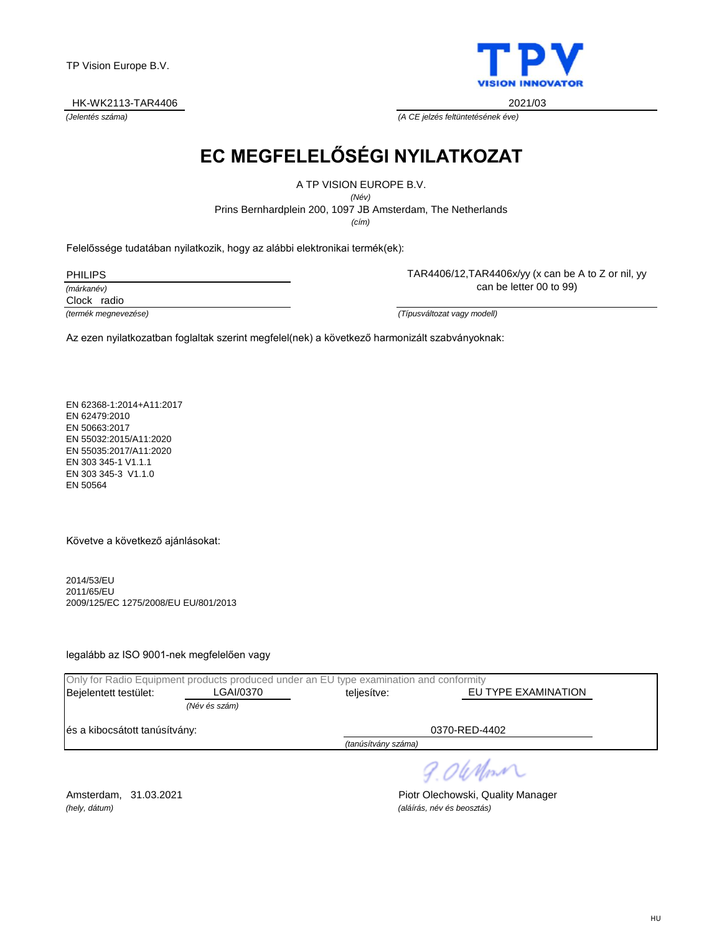HK-WK2113-TAR4406 2021/03



*(Jelentés száma) (A CE jelzés feltüntetésének éve)*

# **EC MEGFELELŐSÉGI NYILATKOZAT**

A TP VISION EUROPE B.V.

Prins Bernhardplein 200, 1097 JB Amsterdam, The Netherlands *(Név)*

*(cím)*

Felelőssége tudatában nyilatkozik, hogy az alábbi elektronikai termék(ek):

PHILIPS

*(márkanév)*

Clock radio

can be letter 00 to 99)

TAR4406/12,TAR4406x/yy (x can be A to Z or nil, yy

*(termék megnevezése) (Típusváltozat vagy modell)*

Az ezen nyilatkozatban foglaltak szerint megfelel(nek) a következő harmonizált szabványoknak:

EN 62368-1:2014+A11:2017 EN 62479:2010 EN 50663:2017 EN 55032:2015/A11:2020 EN 55035:2017/A11:2020 EN 303 345-1 V1.1.1 EN 303 345-3 V1.1.0 EN 50564

Követve a következő ajánlásokat:

2014/53/EU 2011/65/EU 2009/125/EC 1275/2008/EU EU/801/2013

legalább az ISO 9001-nek megfelelően vagy

|                               |               | Only for Radio Equipment products produced under an EU type examination and conformity |                     |  |
|-------------------------------|---------------|----------------------------------------------------------------------------------------|---------------------|--|
| Bejelentett testület:         | LGAI/0370     | teljesítve:                                                                            | EU TYPE EXAMINATION |  |
|                               | (Név és szám) |                                                                                        |                     |  |
| és a kibocsátott tanúsítvány: |               |                                                                                        | 0370-RED-4402       |  |
|                               |               | (tanúsítvány száma)                                                                    |                     |  |
|                               |               |                                                                                        | 9.0 When            |  |
|                               |               |                                                                                        |                     |  |

*(hely, dátum) (aláírás, név és beosztás)*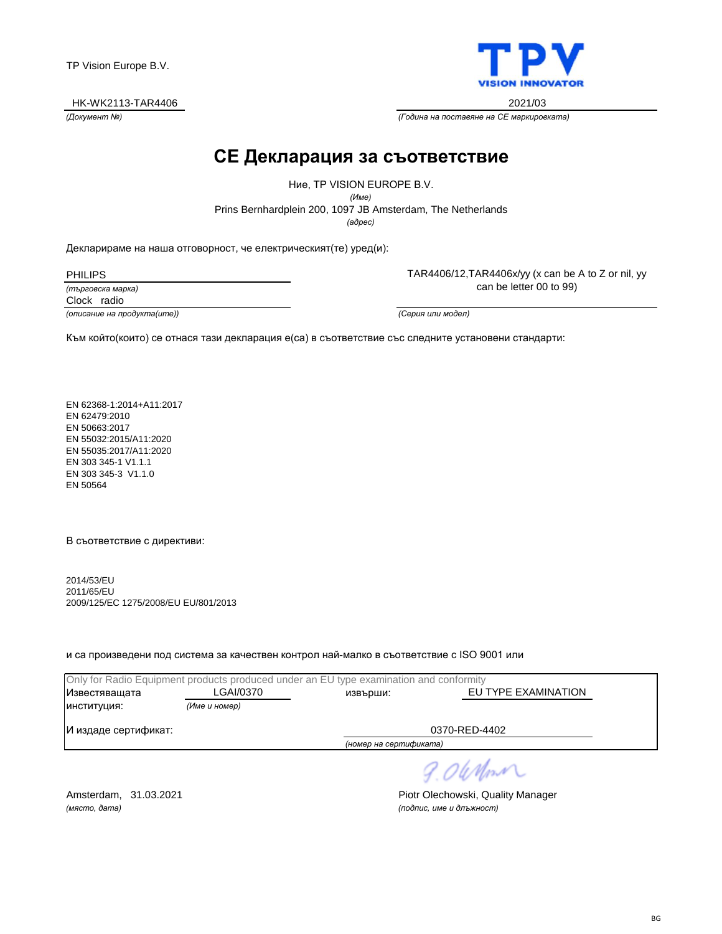#### HK-WK2113-TAR4406 2021/03

**VISION INNOVATOR** 

TAR4406/12,TAR4406x/yy (x can be A to Z or nil, yy can be letter 00 to 99)

*(Документ №) (Година на поставяне на CE маркировката)*

### **CE Декларация за съответствие**

*(адрес)* Prins Bernhardplein 200, 1097 JB Amsterdam, The Netherlands Ние, TP VISION EUROPE B.V. *(Име)*

Декларираме на наша отговорност, че електрическият(те) уред(и):

PHILIPS

*(търговска марка)*

Clock radio

*(описание на продукта(ите)) (Серия или модел)*

Към който(които) се отнася тази декларация е(са) в съответствие със следните установени стандарти:

EN 62368-1:2014+A11:2017 EN 62479:2010 EN 50663:2017 EN 55032:2015/A11:2020 EN 55035:2017/A11:2020 EN 303 345-1 V1.1.1 EN 303 345-3 V1.1.0 EN 50564

В съответствие с директиви:

2014/53/EU 2011/65/EU 2009/125/EC 1275/2008/EU EU/801/2013

и са произведени под система за качествен контрол най-малко в съответствие с ISO 9001 или

| Only for Radio Equipment products produced under an EU type examination and conformity |               |                        |                     |  |
|----------------------------------------------------------------------------------------|---------------|------------------------|---------------------|--|
| Известяващата                                                                          | LGAI/0370     | извърши:               | EU TYPE EXAMINATION |  |
| ИНСТИТУЦИЯ:                                                                            | (Име и номер) |                        |                     |  |
| И издаде сертификат:                                                                   |               |                        | 0370-RED-4402       |  |
|                                                                                        |               | (номер на сертификата) |                     |  |

9.06 Mont

*(място, дата) (подпис, име и длъжност)*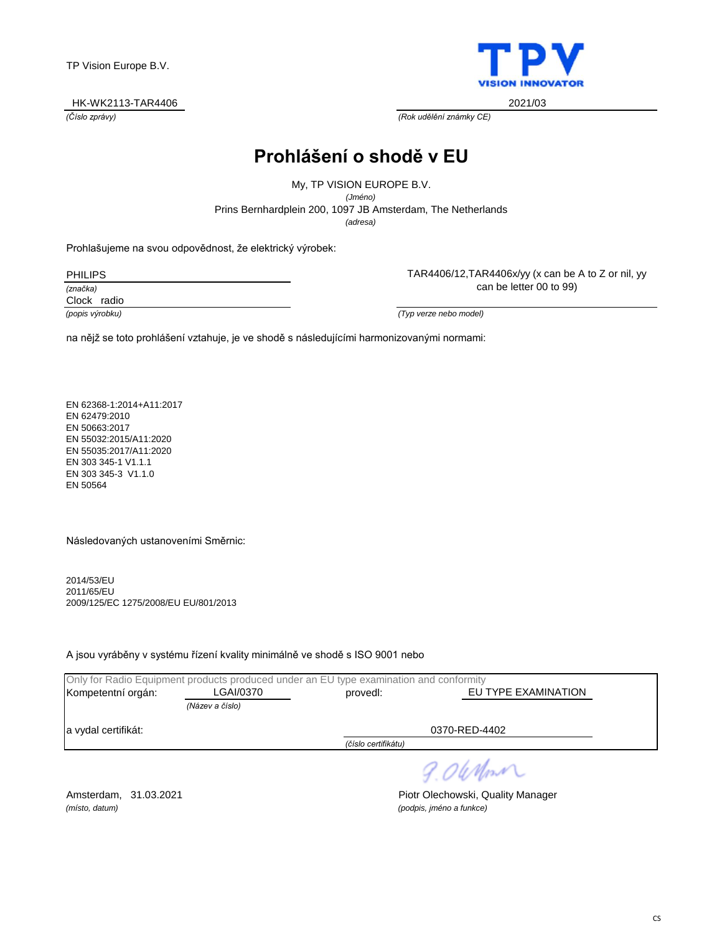#### HK-WK2113-TAR4406 2021/03

**VISION INNOV ATOR** 

*(Číslo zprávy) (Rok udělění známky CE)*

### **Prohlášení o shodě v EU**

*(adresa)* Prins Bernhardplein 200, 1097 JB Amsterdam, The Netherlands My, TP VISION EUROPE B.V. *(Jméno)*

Prohlašujeme na svou odpovědnost, že elektrický výrobek:

PHILIPS

*(značka)*

Clock radio

TAR4406/12,TAR4406x/yy (x can be A to Z or nil, yy can be letter 00 to 99)

*(popis výrobku) (Typ verze nebo model)*

na nějž se toto prohlášení vztahuje, je ve shodě s následujícími harmonizovanými normami:

EN 62368-1:2014+A11:2017 EN 62479:2010 EN 50663:2017 EN 55032:2015/A11:2020 EN 55035:2017/A11:2020 EN 303 345-1 V1.1.1 EN 303 345-3 V1.1.0 EN 50564

Následovaných ustanoveními Směrnic:

2014/53/EU 2011/65/EU 2009/125/EC 1275/2008/EU EU/801/2013

A jsou vyráběny v systému řízení kvality minimálně ve shodě s ISO 9001 nebo

|                     | Only for Radio Equipment products produced under an EU type examination and conformity |                     |                     |
|---------------------|----------------------------------------------------------------------------------------|---------------------|---------------------|
| Kompetentní orgán:  | LGAI/0370                                                                              | provedl:            | EU TYPE EXAMINATION |
|                     | (Název a číslo)                                                                        |                     |                     |
| a vydal certifikát: |                                                                                        | 0370-RED-4402       |                     |
|                     |                                                                                        | (číslo certifikátu) |                     |
|                     |                                                                                        |                     | 9. OWNM             |

*(místo, datum) (podpis, jméno a funkce)*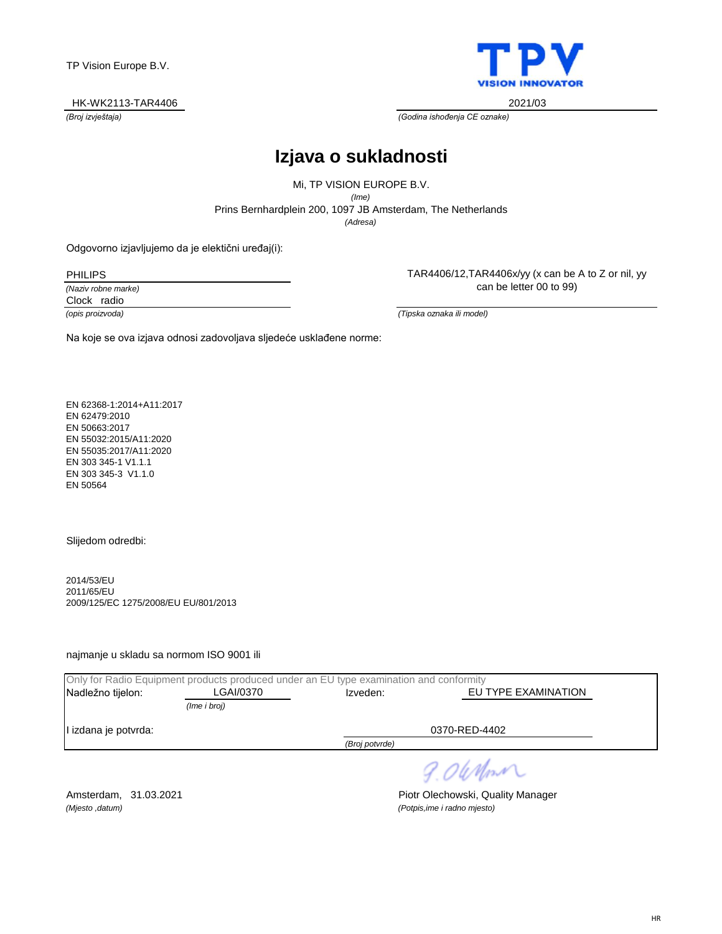#### HK-WK2113-TAR4406 2021/03



*(Broj izvještaja) (Godina ishođenja CE oznake)*

### **Izjava o sukladnosti**

*(Adresa)* Prins Bernhardplein 200, 1097 JB Amsterdam, The Netherlands Mi, TP VISION EUROPE B.V. *(Ime)*

Odgovorno izjavljujemo da je elektični uređaj(i):

PHILIPS

*(Naziv robne marke)* Clock radio

TAR4406/12,TAR4406x/yy (x can be A to Z or nil, yy can be letter 00 to 99)

*(opis proizvoda) (Tipska oznaka ili model)*

Na koje se ova izjava odnosi zadovoljava sljedeće usklađene norme:

EN 62368-1:2014+A11:2017 EN 62479:2010 EN 50663:2017 EN 55032:2015/A11:2020 EN 55035:2017/A11:2020 EN 303 345-1 V1.1.1 EN 303 345-3 V1.1.0 EN 50564

Slijedom odredbi:

2014/53/EU 2011/65/EU 2009/125/EC 1275/2008/EU EU/801/2013

najmanje u skladu sa normom ISO 9001 ili

|                      | Only for Radio Equipment products produced under an EU type examination and conformity |                |                     |  |
|----------------------|----------------------------------------------------------------------------------------|----------------|---------------------|--|
| Nadležno tijelon:    | LGAI/0370                                                                              | Izveden:       | EU TYPE EXAMINATION |  |
|                      | (Ime i broj)                                                                           |                |                     |  |
| I izdana je potvrda: |                                                                                        |                | 0370-RED-4402       |  |
|                      |                                                                                        | (Broj potvrde) |                     |  |
|                      |                                                                                        |                | 9. OleMonn          |  |

*(Mjesto ,datum) (Potpis,ime i radno mjesto)*

Amsterdam, 31.03.2021 **Piotr Olechowski, Quality Manager** Piotr Olechowski, Quality Manager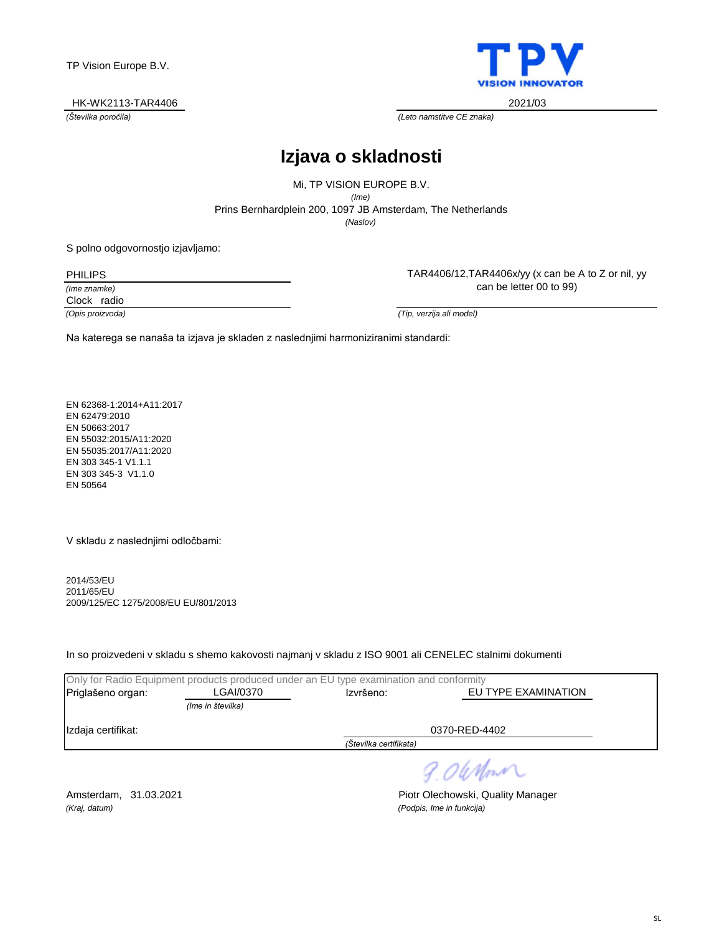#### HK-WK2113-TAR4406 2021/03



*(Številka poročila) (Leto namstitve CE znaka)*

### **Izjava o skladnosti**

*(Naslov)* Prins Bernhardplein 200, 1097 JB Amsterdam, The Netherlands Mi, TP VISION EUROPE B.V. *(Ime)*

S polno odgovornostjo izjavljamo:

PHILIPS

*(Ime znamke)*

Clock radio

TAR4406/12,TAR4406x/yy (x can be A to Z or nil, yy can be letter 00 to 99)

*(Opis proizvoda) (Tip, verzija ali model)*

Na katerega se nanaša ta izjava je skladen z naslednjimi harmoniziranimi standardi:

EN 62368-1:2014+A11:2017 EN 62479:2010 EN 50663:2017 EN 55032:2015/A11:2020 EN 55035:2017/A11:2020 EN 303 345-1 V1.1.1 EN 303 345-3 V1.1.0 EN 50564

V skladu z naslednjimi odločbami:

2014/53/EU 2011/65/EU 2009/125/EC 1275/2008/EU EU/801/2013

In so proizvedeni v skladu s shemo kakovosti najmanj v skladu z ISO 9001 ali CENELEC stalnimi dokumenti

|                        |                   | Only for Radio Equipment products produced under an EU type examination and conformity |                     |  |  |
|------------------------|-------------------|----------------------------------------------------------------------------------------|---------------------|--|--|
| Priglašeno organ:      | LGAI/0370         | Izvršeno:                                                                              | EU TYPE EXAMINATION |  |  |
|                        | (Ime in številka) |                                                                                        |                     |  |  |
| Izdaja certifikat:     |                   |                                                                                        | 0370-RED-4402       |  |  |
| (Številka certifikata) |                   |                                                                                        |                     |  |  |
|                        |                   |                                                                                        |                     |  |  |

9. OleMon

*(Kraj, datum) (Podpis, Ime in funkcija)*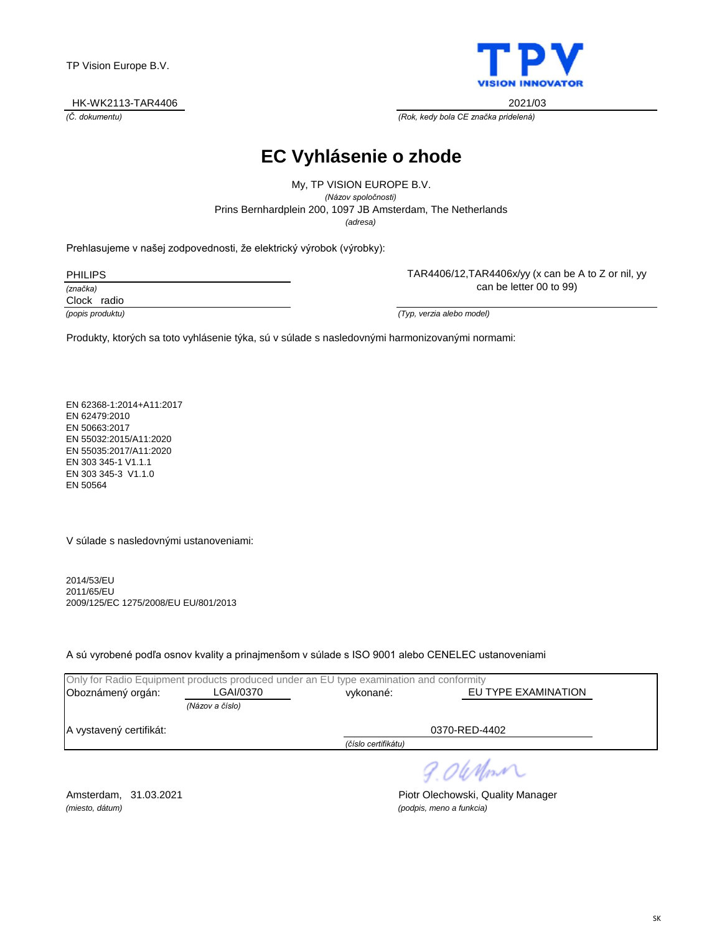#### HK-WK2113-TAR4406 2021/03



TAR4406/12,TAR4406x/yy (x can be A to Z or nil, yy

*(Č. dokumentu) (Rok, kedy bola CE značka pridelená)*

### **EC Vyhlásenie o zhode**

*(adresa)* Prins Bernhardplein 200, 1097 JB Amsterdam, The Netherlands My, TP VISION EUROPE B.V. *(Názov spoločnosti)*

Prehlasujeme v našej zodpovednosti, že elektrický výrobok (výrobky):

| 'HII IP |  |
|---------|--|
|---------|--|

*(značka)*

Clock radio

can be letter 00 to 99)

*(popis produktu) (Typ, verzia alebo model)*

Produkty, ktorých sa toto vyhlásenie týka, sú v súlade s nasledovnými harmonizovanými normami:

EN 62368-1:2014+A11:2017 EN 62479:2010 EN 50663:2017 EN 55032:2015/A11:2020 EN 55035:2017/A11:2020 EN 303 345-1 V1.1.1 EN 303 345-3 V1.1.0 EN 50564

V súlade s nasledovnými ustanoveniami:

2014/53/EU 2011/65/EU 2009/125/EC 1275/2008/EU EU/801/2013

A sú vyrobené podľa osnov kvality a prinajmenšom v súlade s ISO 9001 alebo CENELEC ustanoveniami

|                                          |                 | Only for Radio Equipment products produced under an EU type examination and conformity |  |  |
|------------------------------------------|-----------------|----------------------------------------------------------------------------------------|--|--|
| Oboznámený orgán:                        | LGAI/0370       | EU TYPE EXAMINATION<br>vykonané:                                                       |  |  |
|                                          | (Názov a číslo) |                                                                                        |  |  |
| 0370-RED-4402<br>A vystavený certifikát: |                 |                                                                                        |  |  |
|                                          |                 | (číslo certifikátu)                                                                    |  |  |
|                                          |                 |                                                                                        |  |  |

9.06 Mon

*(miesto, dátum) (podpis, meno a funkcia)*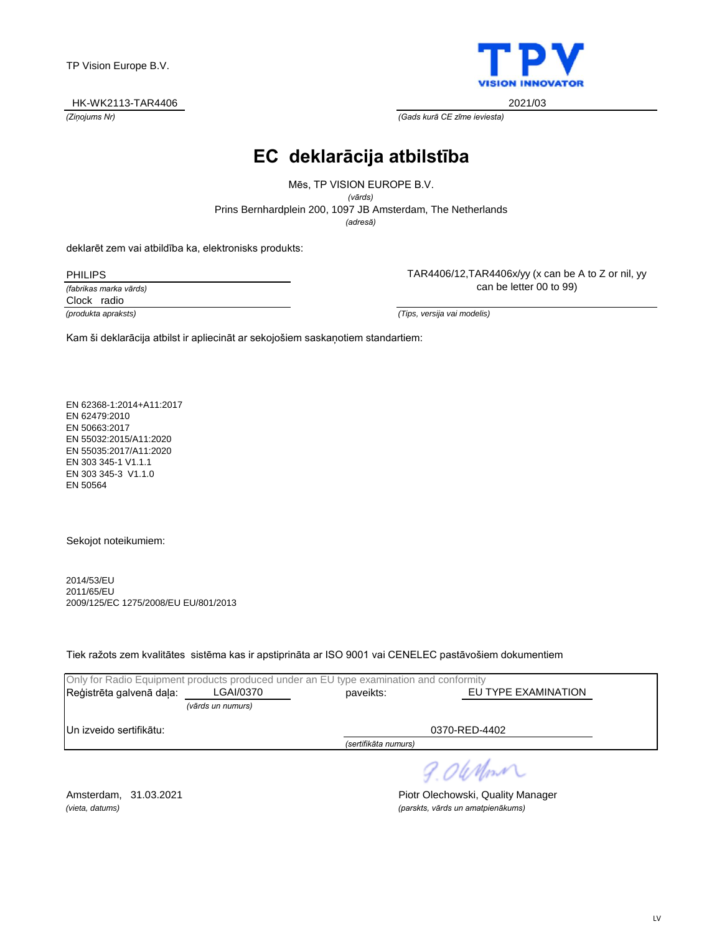#### HK-WK2113-TAR4406 2021/03



*(Ziņojums Nr) (Gads kurā CE zīme ieviesta)*

### **EC deklarācija atbilstība**

*(adresă)* Prins Bernhardplein 200, 1097 JB Amsterdam, The Netherlands Mēs, TP VISION EUROPE B.V. *(vārds)*

deklarēt zem vai atbildība ka, elektronisks produkts:

PHILIPS

*(fabrikas marka vārds)* Clock radio

TAR4406/12,TAR4406x/yy (x can be A to Z or nil, yy can be letter 00 to 99)

*(produkta apraksts) (Tips, versija vai modelis)*

Kam ši deklarācija atbilst ir apliecināt ar sekojošiem saskaņotiem standartiem:

EN 62368-1:2014+A11:2017 EN 62479:2010 EN 50663:2017 EN 55032:2015/A11:2020 EN 55035:2017/A11:2020 EN 303 345-1 V1.1.1 EN 303 345-3 V1.1.0 EN 50564

Sekojot noteikumiem:

2014/53/EU 2011/65/EU 2009/125/EC 1275/2008/EU EU/801/2013

Tiek ražots zem kvalitātes sistēma kas ir apstiprināta ar ISO 9001 vai CENELEC pastāvošiem dokumentiem

|                          |                   | Only for Radio Equipment products produced under an EU type examination and conformity |                     |  |
|--------------------------|-------------------|----------------------------------------------------------------------------------------|---------------------|--|
| Reģistrēta galvenā daļa: | LGAI/0370         | paveikts:                                                                              | EU TYPE EXAMINATION |  |
|                          | (vārds un numurs) |                                                                                        |                     |  |
| IUn izveido sertifikātu: |                   |                                                                                        | 0370-RED-4402       |  |
|                          |                   | (sertifikāta numurs)                                                                   |                     |  |
|                          |                   |                                                                                        | 9.0 When            |  |

Amsterdam, 31.03.2021 **Piotr Olechowski, Quality Manager** *(vieta, datums) (parskts, vārds un amatpienākums)*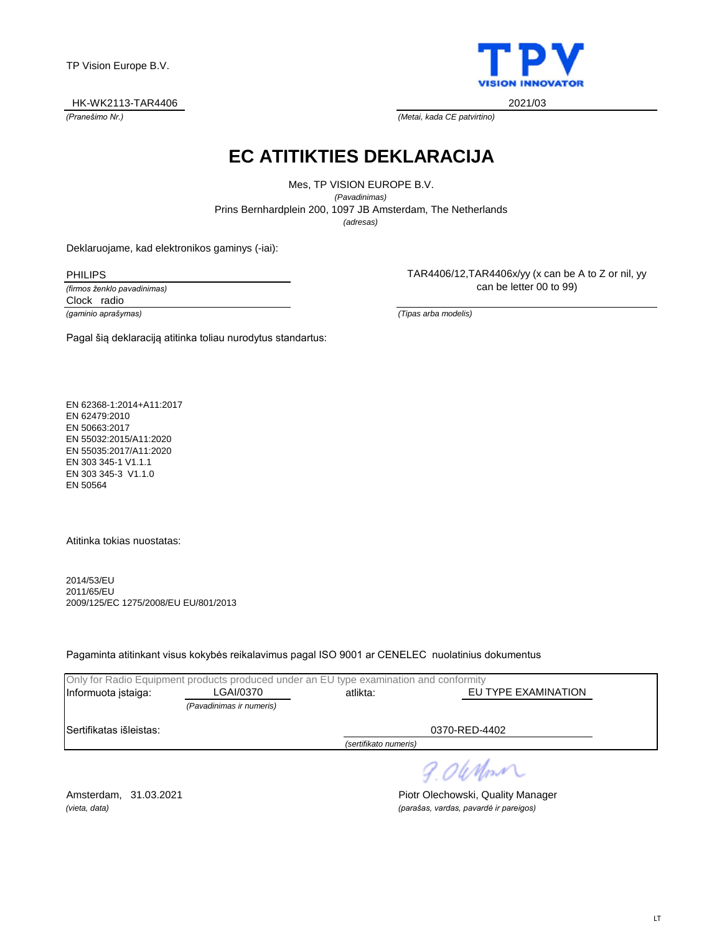#### HK-WK2113-TAR4406 2021/03



*(Pranešimo Nr.) (Metai, kada CE patvirtino)*

# **EC ATITIKTIES DEKLARACIJA**

*(adresas)* Prins Bernhardplein 200, 1097 JB Amsterdam, The Netherlands Mes, TP VISION EUROPE B.V. *(Pavadinimas)*

Deklaruojame, kad elektronikos gaminys (-iai):

PHILIPS

*(firmos ženklo pavadinimas)* Clock radio

TAR4406/12,TAR4406x/yy (x can be A to Z or nil, yy can be letter 00 to 99)

*(gaminio aprašymas) (Tipas arba modelis)*

Pagal šią deklaraciją atitinka toliau nurodytus standartus:

EN 62368-1:2014+A11:2017 EN 62479:2010 EN 50663:2017 EN 55032:2015/A11:2020 EN 55035:2017/A11:2020 EN 303 345-1 V1.1.1 EN 303 345-3 V1.1.0 EN 50564

Atitinka tokias nuostatas:

2014/53/EU 2011/65/EU 2009/125/EC 1275/2008/EU EU/801/2013

Pagaminta atitinkant visus kokybės reikalavimus pagal ISO 9001 ar CENELEC nuolatinius dokumentus

|                          | Only for Radio Equipment products produced under an EU type examination and conformity |                                 |               |  |
|--------------------------|----------------------------------------------------------------------------------------|---------------------------------|---------------|--|
| Informuota istaiga:      | LGAI/0370                                                                              | EU TYPE EXAMINATION<br>atlikta: |               |  |
|                          | (Pavadinimas ir numeris)                                                               |                                 |               |  |
| ISertifikatas išleistas: |                                                                                        |                                 | 0370-RED-4402 |  |
| (sertifikato numeris)    |                                                                                        |                                 |               |  |
|                          |                                                                                        |                                 | ____          |  |

9. OWnm

Amsterdam, 31.03.2021 **Piotr Olechowski, Quality Manager** *(vieta, data) (parašas, vardas, pavardė ir pareigos)*